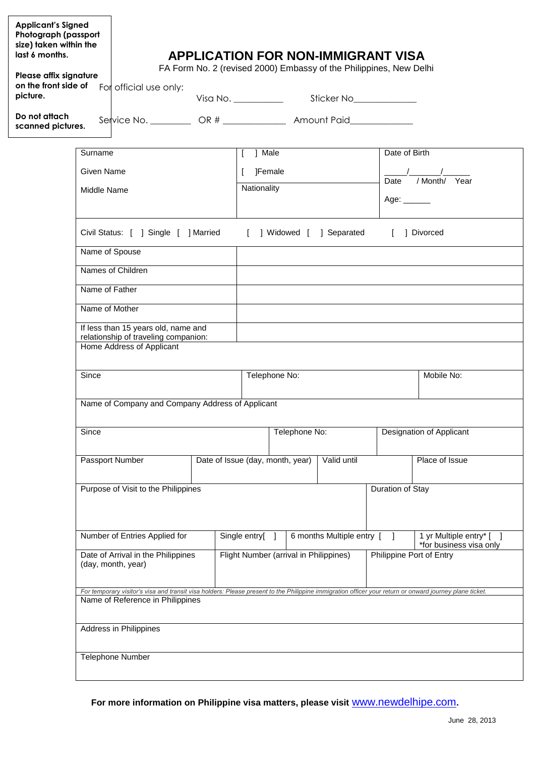| <b>Applicant's Signed</b><br>Photograph (passport<br>size) taken within the<br>last 6 months.<br>Please affix signature<br>on the front side of<br>picture. |                                                                                            |                                                                                                                                                                                             |                                                 |               |                                                                         | <b>APPLICATION FOR NON-IMMIGRANT VISA</b><br>FA Form No. 2 (revised 2000) Embassy of the Philippines, New Delhi |                          |                                                   |  |
|-------------------------------------------------------------------------------------------------------------------------------------------------------------|--------------------------------------------------------------------------------------------|---------------------------------------------------------------------------------------------------------------------------------------------------------------------------------------------|-------------------------------------------------|---------------|-------------------------------------------------------------------------|-----------------------------------------------------------------------------------------------------------------|--------------------------|---------------------------------------------------|--|
|                                                                                                                                                             |                                                                                            | For official use only:                                                                                                                                                                      |                                                 |               |                                                                         |                                                                                                                 |                          |                                                   |  |
| Do not attach<br>scanned pictures.                                                                                                                          |                                                                                            |                                                                                                                                                                                             |                                                 |               | Service No. ___________ OR # ________________ Amount Paid______________ |                                                                                                                 |                          |                                                   |  |
|                                                                                                                                                             | Surname                                                                                    |                                                                                                                                                                                             |                                                 | ] Male<br>I.  |                                                                         |                                                                                                                 | Date of Birth            |                                                   |  |
|                                                                                                                                                             | Given Name                                                                                 |                                                                                                                                                                                             |                                                 |               | ]Female                                                                 |                                                                                                                 |                          |                                                   |  |
|                                                                                                                                                             | Middle Name<br>Civil Status: [ ] Single [ ] Married<br>Name of Spouse<br>Names of Children |                                                                                                                                                                                             |                                                 | Nationality   |                                                                         |                                                                                                                 | Age: ______              | Date / Month/ Year                                |  |
|                                                                                                                                                             |                                                                                            |                                                                                                                                                                                             |                                                 |               |                                                                         | ] Widowed [ ] Separated                                                                                         |                          | 1 Divorced                                        |  |
|                                                                                                                                                             |                                                                                            |                                                                                                                                                                                             |                                                 |               |                                                                         |                                                                                                                 |                          |                                                   |  |
|                                                                                                                                                             |                                                                                            |                                                                                                                                                                                             |                                                 |               |                                                                         |                                                                                                                 |                          |                                                   |  |
|                                                                                                                                                             | Name of Father                                                                             |                                                                                                                                                                                             |                                                 |               |                                                                         |                                                                                                                 |                          |                                                   |  |
|                                                                                                                                                             | Name of Mother                                                                             |                                                                                                                                                                                             |                                                 |               |                                                                         |                                                                                                                 |                          |                                                   |  |
|                                                                                                                                                             |                                                                                            | If less than 15 years old, name and<br>relationship of traveling companion:<br>Home Address of Applicant                                                                                    |                                                 |               |                                                                         |                                                                                                                 |                          |                                                   |  |
| Since<br>Since                                                                                                                                              |                                                                                            |                                                                                                                                                                                             | Telephone No:                                   |               |                                                                         |                                                                                                                 | Mobile No:               |                                                   |  |
|                                                                                                                                                             |                                                                                            | Name of Company and Company Address of Applicant                                                                                                                                            |                                                 |               |                                                                         |                                                                                                                 |                          |                                                   |  |
|                                                                                                                                                             |                                                                                            |                                                                                                                                                                                             | Telephone No:                                   |               |                                                                         | <b>Designation of Applicant</b>                                                                                 |                          |                                                   |  |
|                                                                                                                                                             |                                                                                            | Passport Number                                                                                                                                                                             | Valid until<br>Date of Issue (day, month, year) |               | Place of Issue                                                          |                                                                                                                 |                          |                                                   |  |
|                                                                                                                                                             |                                                                                            | Purpose of Visit to the Philippines                                                                                                                                                         |                                                 |               |                                                                         |                                                                                                                 | Duration of Stay         |                                                   |  |
|                                                                                                                                                             |                                                                                            | Number of Entries Applied for                                                                                                                                                               |                                                 | Single entry[ |                                                                         | 6 months Multiple entry [                                                                                       |                          | 1 yr Multiple entry* [<br>*for business visa only |  |
|                                                                                                                                                             |                                                                                            | Date of Arrival in the Philippines<br>(day, month, year)                                                                                                                                    |                                                 |               | Flight Number (arrival in Philippines)                                  |                                                                                                                 | Philippine Port of Entry |                                                   |  |
|                                                                                                                                                             |                                                                                            | For temporary visitor's visa and transit visa holders: Please present to the Philippine immigration officer your return or onward journey plane ticket.<br>Name of Reference in Philippines |                                                 |               |                                                                         |                                                                                                                 |                          |                                                   |  |
|                                                                                                                                                             |                                                                                            | Address in Philippines                                                                                                                                                                      |                                                 |               |                                                                         |                                                                                                                 |                          |                                                   |  |
|                                                                                                                                                             |                                                                                            | Telephone Number                                                                                                                                                                            |                                                 |               |                                                                         |                                                                                                                 |                          |                                                   |  |

**For more information on Philippine visa matters, please visit** www.newdelhipe.com**.**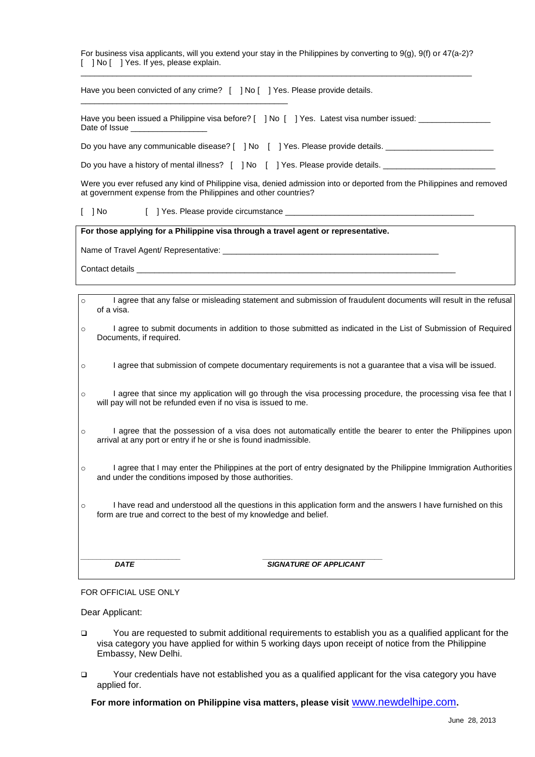For business visa applicants, will you extend your stay in the Philippines by converting to 9(g), 9(f) or 47(a-2)? [ ] No [ ] Yes. If yes, please explain. \_\_\_\_\_\_\_\_\_\_\_\_\_\_\_\_\_\_\_\_\_\_\_\_\_\_\_\_\_\_\_\_\_\_\_\_\_\_\_\_\_\_\_\_\_\_\_\_\_\_\_\_\_\_\_\_\_\_\_\_\_\_\_\_\_\_\_\_\_\_\_\_\_\_\_\_\_\_\_\_\_\_\_\_\_\_\_

Have you been convicted of any crime? [ ] No [ ] Yes. Please provide details.

Have you been issued a Philippine visa before? [ ] No [ ] Yes. Latest visa number issued: \_\_\_\_\_\_\_\_\_\_ Date of Issue

Do you have any communicable disease? [ ] No [ ] Yes. Please provide details.

Do you have a history of mental illness? [ ] No [ ] Yes. Please provide details.

Were you ever refused any kind of Philippine visa, denied admission into or deported from the Philippines and removed at government expense from the Philippines and other countries?

[ ] No [ ] Yes. Please provide circumstance

\_\_\_\_\_\_\_\_\_\_\_\_\_\_\_\_\_\_\_\_\_\_\_\_\_\_\_\_\_\_\_\_\_\_\_\_\_\_\_\_\_\_\_\_\_\_

**For those applying for a Philippine visa through a travel agent or representative.**

Name of Travel Agent/ Representative:

Contact details

- o I agree that any false or misleading statement and submission of fraudulent documents will result in the refusal of a visa.
- o I agree to submit documents in addition to those submitted as indicated in the List of Submission of Required Documents, if required.
- o I agree that submission of compete documentary requirements is not a guarantee that a visa will be issued.
- o I agree that since my application will go through the visa processing procedure, the processing visa fee that I will pay will not be refunded even if no visa is issued to me.
- o I agree that the possession of a visa does not automatically entitle the bearer to enter the Philippines upon arrival at any port or entry if he or she is found inadmissible.
- o I agree that I may enter the Philippines at the port of entry designated by the Philippine Immigration Authorities and under the conditions imposed by those authorities.
- o I have read and understood all the questions in this application form and the answers I have furnished on this form are true and correct to the best of my knowledge and belief.

*\_\_\_\_\_\_\_\_\_\_\_\_\_\_\_\_\_\_\_\_\_\_\_\_\_ \_\_\_\_\_\_\_\_\_\_\_\_\_\_\_\_\_\_\_\_\_\_\_\_\_\_\_\_\_\_* **DATE** SIGNATURE OF APPLICANT

## FOR OFFICIAL USE ONLY

Dear Applicant:

- You are requested to submit additional requirements to establish you as a qualified applicant for the visa category you have applied for within 5 working days upon receipt of notice from the Philippine Embassy, New Delhi.
- Your credentials have not established you as a qualified applicant for the visa category you have applied for.

## **For more information on Philippine visa matters, please visit** www.newdelhipe.com**.**